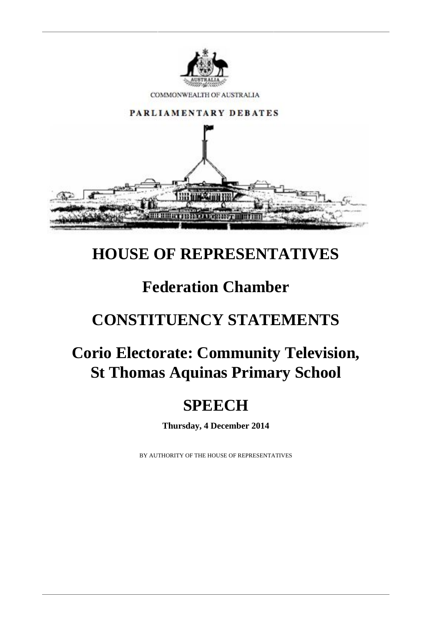

## **HOUSE OF REPRESENTATIVES**

## **Federation Chamber**

## **CONSTITUENCY STATEMENTS**

# **Corio Electorate: Community Television, St Thomas Aquinas Primary School**

### **SPEECH**

**Thursday, 4 December 2014**

BY AUTHORITY OF THE HOUSE OF REPRESENTATIVES